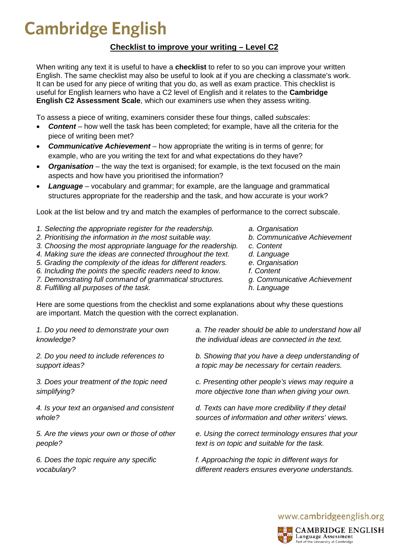## **Cambridge English**

## **Checklist to improve your writing – Level C2**

When writing any text it is useful to have a **checklist** to refer to so you can improve your written English. The same checklist may also be useful to look at if you are checking a classmate's work. It can be used for any piece of writing that you do, as well as exam practice. This checklist is useful for English learners who have a C2 level of English and it relates to the **Cambridge English C2 Assessment Scale**, which our examiners use when they assess writing.

To assess a piece of writing, examiners consider these four things, called *subscales*:

- *Content –* how well the task has been completed; for example, have all the criteria for the piece of writing been met?
- *Communicative Achievement –* how appropriate the writing is in terms of genre; for example, who are you writing the text for and what expectations do they have?
- *Organisation* the way the text is organised; for example, is the text focused on the main aspects and how have you prioritised the information?
- Language vocabulary and grammar; for example, are the language and grammatical structures appropriate for the readership and the task, and how accurate is your work?

Look at the list below and try and match the examples of performance to the correct subscale.

- *1. Selecting the appropriate register for the readership. a. Organisation*
- 
- *2. Prioritising the information in the most suitable way.* **b. Communication** *b. Communique Achievement academention for Content 3. Choosing the most appropriate language for the readership. c. Content*
- *4. Making sure the ideas are connected throughout the text. d. Language*
- *5. Grading the complexity of the ideas for different readers. e. Organisation*
- *6. Including the points the specific readers need to know. f. Content*
- *7. Demonstrating full command of grammatical structures. g. Communicative Achievement*
- *8. Fulfilling all purposes of the task. h. Language*
- 
- 
- 
- 
- 
- 
- 
- 

Here are some questions from the checklist and some explanations about why these questions are important. Match the question with the correct explanation.

*1. Do you need to demonstrate your own knowledge?*

*2. Do you need to include references to support ideas?*

*3. Does your treatment of the topic need simplifying?*

*4. Is your text an organised and consistent whole?*

*5. Are the views your own or those of other people?*

*6. Does the topic require any specific vocabulary?*

*a. The reader should be able to understand how all the individual ideas are connected in the text.*

*b. Showing that you have a deep understanding of a topic may be necessary for certain readers.*

*c. Presenting other people's views may require a more objective tone than when giving your own.*

*d. Texts can have more credibility if they detail sources of information and other writers' views.*

*e. Using the correct terminology ensures that your text is on topic and suitable for the task.*

*f. Approaching the topic in different ways for different readers ensures everyone understands.*

www.cambridgeenglish.org



**CAMBRIDGE ENGLISH** Language Assessment Part of the University of Cambridge